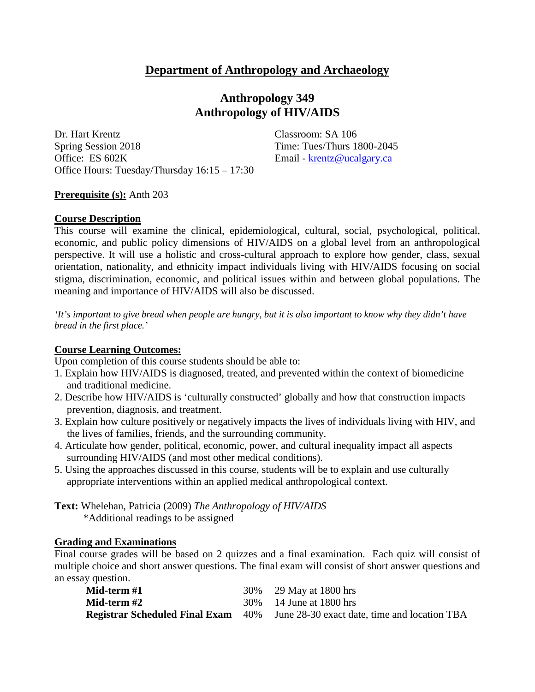# **Department of Anthropology and Archaeology**

# **Anthropology 349 Anthropology of HIV/AIDS**

Dr. Hart Krentz Classroom: SA 106 Spring Session 2018 Time: Tues/Thurs 1800-2045 Office: ES 602K Email - [krentz@ucalgary.ca](mailto:krentz@ucalgary.ca) Office Hours: Tuesday/Thursday 16:15 – 17:30

#### **Prerequisite (s):** Anth 203

#### **Course Description**

This course will examine the clinical, epidemiological, cultural, social, psychological, political, economic, and public policy dimensions of HIV/AIDS on a global level from an anthropological perspective. It will use a holistic and cross-cultural approach to explore how gender, class, sexual orientation, nationality, and ethnicity impact individuals living with HIV/AIDS focusing on social stigma, discrimination, economic, and political issues within and between global populations. The meaning and importance of HIV/AIDS will also be discussed.

*'It's important to give bread when people are hungry, but it is also important to know why they didn't have bread in the first place.'*

#### **Course Learning Outcomes:**

Upon completion of this course students should be able to:

- 1. Explain how HIV/AIDS is diagnosed, treated, and prevented within the context of biomedicine and traditional medicine.
- 2. Describe how HIV/AIDS is 'culturally constructed' globally and how that construction impacts prevention, diagnosis, and treatment.
- 3. Explain how culture positively or negatively impacts the lives of individuals living with HIV, and the lives of families, friends, and the surrounding community.
- 4. Articulate how gender, political, economic, power, and cultural inequality impact all aspects surrounding HIV/AIDS (and most other medical conditions).
- 5. Using the approaches discussed in this course, students will be to explain and use culturally appropriate interventions within an applied medical anthropological context.

**Text:** Whelehan, Patricia (2009) *The Anthropology of HIV/AIDS*

\*Additional readings to be assigned

### **Grading and Examinations**

Final course grades will be based on 2 quizzes and a final examination. Each quiz will consist of multiple choice and short answer questions. The final exam will consist of short answer questions and an essay question.

| Mid-term #1 | 30% 29 May at 1800 hrs                                                                 |
|-------------|----------------------------------------------------------------------------------------|
| Mid-term #2 | 30\% 14 June at 1800 hrs                                                               |
|             | <b>Registrar Scheduled Final Exam</b> 40% June 28-30 exact date, time and location TBA |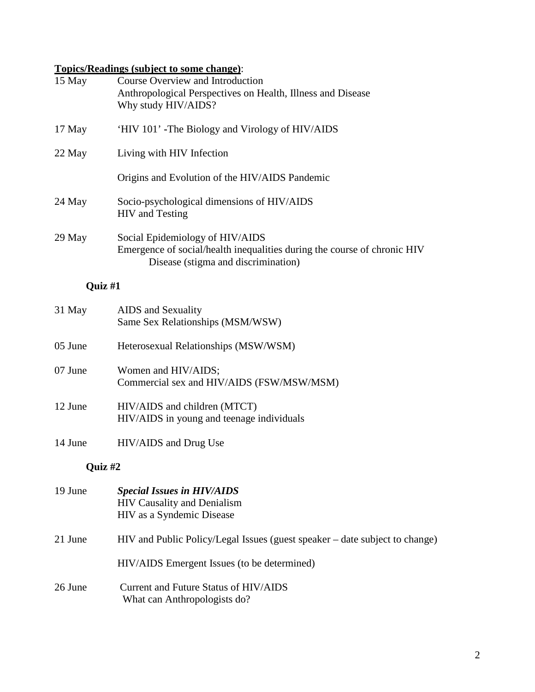# **Topics/Readings (subject to some change)**:

| 15 May  | <b>Course Overview and Introduction</b><br>Anthropological Perspectives on Health, Illness and Disease<br>Why study HIV/AIDS?                      |  |  |  |  |  |
|---------|----------------------------------------------------------------------------------------------------------------------------------------------------|--|--|--|--|--|
| 17 May  | 'HIV 101' -The Biology and Virology of HIV/AIDS                                                                                                    |  |  |  |  |  |
| 22 May  | Living with HIV Infection                                                                                                                          |  |  |  |  |  |
|         | Origins and Evolution of the HIV/AIDS Pandemic                                                                                                     |  |  |  |  |  |
| 24 May  | Socio-psychological dimensions of HIV/AIDS<br><b>HIV</b> and Testing                                                                               |  |  |  |  |  |
| 29 May  | Social Epidemiology of HIV/AIDS<br>Emergence of social/health inequalities during the course of chronic HIV<br>Disease (stigma and discrimination) |  |  |  |  |  |
|         | Quiz #1                                                                                                                                            |  |  |  |  |  |
| 31 May  | <b>AIDS</b> and Sexuality<br>Same Sex Relationships (MSM/WSW)                                                                                      |  |  |  |  |  |
| 05 June | Heterosexual Relationships (MSW/WSM)                                                                                                               |  |  |  |  |  |
| 07 June | Women and HIV/AIDS;<br>Commercial sex and HIV/AIDS (FSW/MSW/MSM)                                                                                   |  |  |  |  |  |
| 12 June | HIV/AIDS and children (MTCT)<br>HIV/AIDS in young and teenage individuals                                                                          |  |  |  |  |  |
| 14 June | HIV/AIDS and Drug Use                                                                                                                              |  |  |  |  |  |
|         | Quiz #2                                                                                                                                            |  |  |  |  |  |
| 19 June | <b>Special Issues in HIV/AIDS</b><br><b>HIV Causality and Denialism</b><br>HIV as a Syndemic Disease                                               |  |  |  |  |  |
| 21 June | HIV and Public Policy/Legal Issues (guest speaker – date subject to change)                                                                        |  |  |  |  |  |
|         | HIV/AIDS Emergent Issues (to be determined)                                                                                                        |  |  |  |  |  |
| 26 June | Current and Future Status of HIV/AIDS<br>What can Anthropologists do?                                                                              |  |  |  |  |  |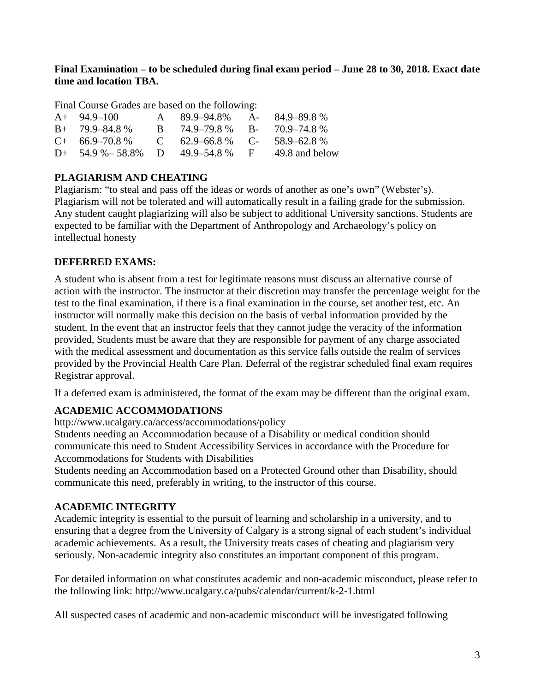## **Final Examination – to be scheduled during final exam period – June 28 to 30, 2018. Exact date time and location TBA.**

Final Course Grades are based on the following:

| $A+ 94.9-100$                                 | A 89.9–94.8% A- 84.9–89.8%       |                |
|-----------------------------------------------|----------------------------------|----------------|
| $B+ 79.9-84.8%$                               | B $74.9-79.8\%$ B- $70.9-74.8\%$ |                |
| $C+$ 66.9–70.8 % C 62.9–66.8 % C- 58.9–62.8 % |                                  |                |
| D+ $54.9\% - 58.8\%$ D $49.9 - 54.8\%$ F      |                                  | 49.8 and below |

## **PLAGIARISM AND CHEATING**

Plagiarism: "to steal and pass off the ideas or words of another as one's own" (Webster's). Plagiarism will not be tolerated and will automatically result in a failing grade for the submission. Any student caught plagiarizing will also be subject to additional University sanctions. Students are expected to be familiar with the Department of Anthropology and Archaeology's policy on intellectual honesty

## **DEFERRED EXAMS:**

A student who is absent from a test for legitimate reasons must discuss an alternative course of action with the instructor. The instructor at their discretion may transfer the percentage weight for the test to the final examination, if there is a final examination in the course, set another test, etc. An instructor will normally make this decision on the basis of verbal information provided by the student. In the event that an instructor feels that they cannot judge the veracity of the information provided, Students must be aware that they are responsible for payment of any charge associated with the medical assessment and documentation as this service falls outside the realm of services provided by the Provincial Health Care Plan. Deferral of the registrar scheduled final exam requires Registrar approval.

If a deferred exam is administered, the format of the exam may be different than the original exam.

# **ACADEMIC ACCOMMODATIONS**

http://www.ucalgary.ca/access/accommodations/policy

Students needing an Accommodation because of a Disability or medical condition should communicate this need to Student Accessibility Services in accordance with the Procedure for Accommodations for Students with Disabilities

Students needing an Accommodation based on a Protected Ground other than Disability, should communicate this need, preferably in writing, to the instructor of this course.

## **ACADEMIC INTEGRITY**

Academic integrity is essential to the pursuit of learning and scholarship in a university, and to ensuring that a degree from the University of Calgary is a strong signal of each student's individual academic achievements. As a result, the University treats cases of cheating and plagiarism very seriously. Non-academic integrity also constitutes an important component of this program.

For detailed information on what constitutes academic and non-academic misconduct, please refer to the following link: http://www.ucalgary.ca/pubs/calendar/current/k-2-1.html

All suspected cases of academic and non-academic misconduct will be investigated following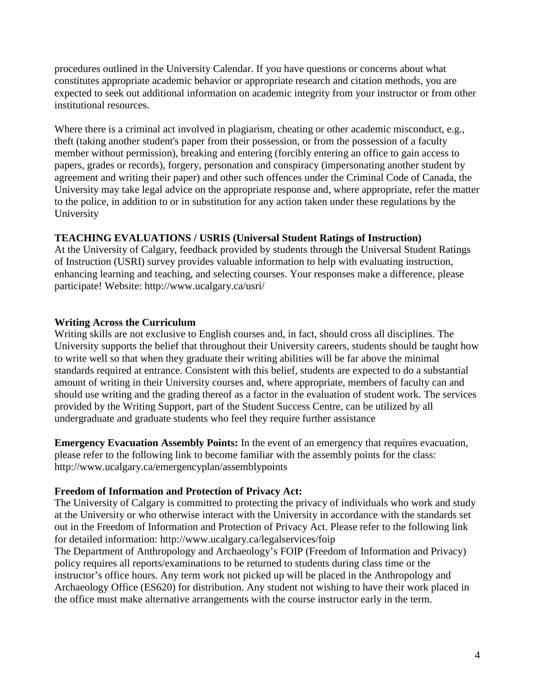procedures outlined in the University Calendar. If you have questions or concerns about what constitutes appropriate academic behavior or appropriate research and citation methods, you are expected to seek out additional information on academic integrity from your instructor or from other institutional resources.

Where there is a criminal act involved in plagiarism, cheating or other academic misconduct, e.g., theft (taking another student's paper from their possession, or from the possession of a faculty member without permission), breaking and entering (forcibly entering an office to gain access to papers, grades or records), forgery, personation and conspiracy (impersonating another student by agreement and writing their paper) and other such offences under the Criminal Code of Canada, the University may take legal advice on the appropriate response and, where appropriate, refer the matter to the police, in addition to or in substitution for any action taken under these regulations by the University

## **TEACHING EVALUATIONS / USRIS (Universal Student Ratings of Instruction)**

At the University of Calgary, feedback provided by students through the Universal Student Ratings of Instruction (USRI) survey provides valuable information to help with evaluating instruction, enhancing learning and teaching, and selecting courses. Your responses make a difference, please participate! Website: http://www.ucalgary.ca/usri/

## **Writing Across the Curriculum**

Writing skills are not exclusive to English courses and, in fact, should cross all disciplines. The University supports the belief that throughout their University careers, students should be taught how to write well so that when they graduate their writing abilities will be far above the minimal standards required at entrance. Consistent with this belief, students are expected to do a substantial amount of writing in their University courses and, where appropriate, members of faculty can and should use writing and the grading thereof as a factor in the evaluation of student work. The services provided by the Writing Support, part of the Student Success Centre, can be utilized by all undergraduate and graduate students who feel they require further assistance

**Emergency Evacuation Assembly Points:** In the event of an emergency that requires evacuation, please refer to the following link to become familiar with the assembly points for the class: http://www.ucalgary.ca/emergencyplan/assemblypoints

## **Freedom of Information and Protection of Privacy Act:**

The University of Calgary is committed to protecting the privacy of individuals who work and study at the University or who otherwise interact with the University in accordance with the standards set out in the Freedom of Information and Protection of Privacy Act. Please refer to the following link for detailed information: http://www.ucalgary.ca/legalservices/foip

The Department of Anthropology and Archaeology's FOIP (Freedom of Information and Privacy) policy requires all reports/examinations to be returned to students during class time or the instructor's office hours. Any term work not picked up will be placed in the Anthropology and Archaeology Office (ES620) for distribution. Any student not wishing to have their work placed in the office must make alternative arrangements with the course instructor early in the term.